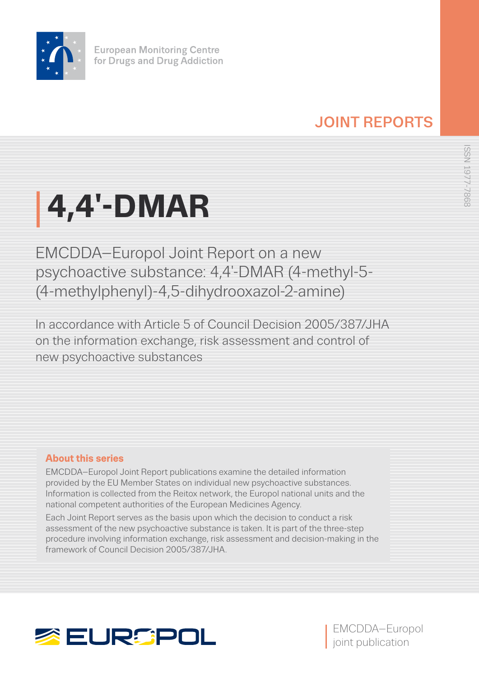

# JOINT REPORTS

# **4,4′-DMAR**

EMCDDA–Europol Joint Report on a new psychoactive substance: 4,4′-DMAR (4-methyl-5- (4-methylphenyl)-4,5-dihydrooxazol-2-amine)

In accordance with Article 5 of Council Decision 2005/387/JHA on the information exchange, risk assessment and control of new psychoactive substances

# **About this series**

EMCDDA–Europol Joint Report publications examine the detailed information provided by the EU Member States on individual new psychoactive substances. Information is collected from the Reitox network, the Europol national units and the national competent authorities of the European Medicines Agency.

Each Joint Report serves as the basis upon which the decision to conduct a risk assessment of the new psychoactive substance is taken. It is part of the three-step procedure involving information exchange, risk assessment and decision-making in the framework of Council Decision 2005/387/JHA.



EMCDDA–Europol joint publication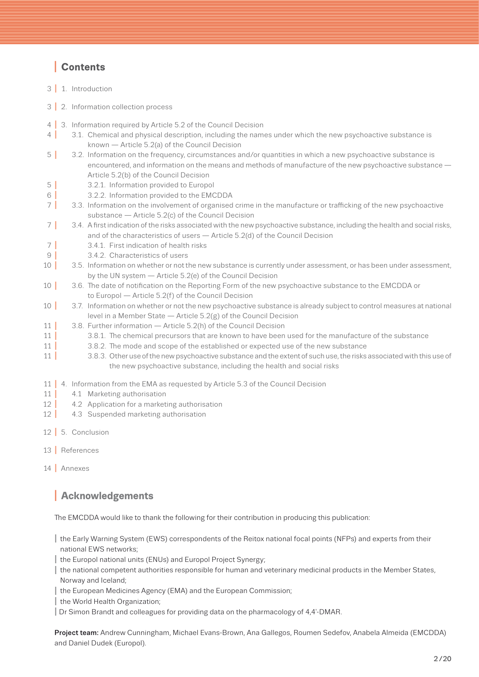# I **Contents**

- 3 | 1. [Introduction](#page-2-0)
- 3 | 2. [Information collection process](#page-2-0)
- 4 3. [Information required by Article 5.2 of the Council Decision](#page-3-0)<br>4 3.1. Chemical and physical description, including the nam
- 3.1. Chemical and physical description, including the names under which the new psychoactive substance is known — Article 5.2(a) of the Council Decision
- 5 | 3.2. Information on the frequency, circumstances and/or quantities in which a new psychoactive substance is [encountered, and information on the means and methods of manufacture of the new psychoactive substance —](#page-4-0)  Article 5.2(b) of the Council Decision
- 
- 5 | 3.2.1. [Information provided to Europol](#page-4-0)<br>6 | 3.2.2. Information provided to the EMO 3.2.2. [Information provided to the EMCDDA](#page-5-0)
- 7 3.3. Information on the involvement of organised crime in the manufacture or trafficking of the new psychoactive substance — Article 5.2(c) of the Council Decision
- 7 I 3.4. [A first indication of the risks associated with the new psychoactive substance, including the health and social risks,](#page-6-0)  and of the characteristics of users — Article 5.2(d) of the Council Decision
- 7 3.4.1. [First indication of health risks](#page-6-0)<br>9 3.4.2. Characteristics of users
- 9 3.4.2. [Characteristics of users](#page-8-0)<br>10 3.5. Information on whether or not t
- 3.5. [Information on whether or not the new substance is currently under assessment, or has been under assessment,](#page-9-0) by the UN system — Article 5.2(e) of the Council Decision
- 10 | 3.6. The date of notification on the Reporting Form of the new psychoactive substance to the EMCDDA or to Europol — Article 5.2(f) of the Council Decision
- 10 | 3.7. Information on whether or not the new psychoactive substance is already subject to control measures at national level in a Member State — Article 5.2(g) of the Council Decision
- 11 | 3.8. [Further information Article 5.2\(h\) of the Council Decision](#page-10-0)
- 11 3.8.1. [The chemical precursors that are known to have been used for the manufacture of the substance](#page-10-0)<br>11 3.8.2. The mode and scope of the established or expected use of the new substance
- 11 3.8.2. [The mode and scope of the established or expected use of the new substance](#page-10-0)<br>11 3.8.3. Other use of the new psychoactive substance and the extent of such use the risks
- 3.8.3. Other use of the new psychoactive substance and the extent of such use, the risks associated with this use of the new psychoactive substance, including the health and social risks
- 11 | 4. [Information from the EMA as requested by Article 5.3 of the Council Decision](#page-10-0)<br>11 | 41 Marketing authorisation
- 4.1 [Marketing authorisation](#page-10-0)
- 12 | 4.2 [Application for a marketing authorisation](#page-11-0)<br>12 | 4.3 Suspended marketing authorisation
- 4.3 [Suspended marketing authorisation](#page-11-0)
- 12 | 5. [Conclusion](#page-11-0)
- 13 I [References](#page-12-0)
- 14 [Annexes](#page-13-0)

# **<sup>I</sup> Acknowledgements**

The EMCDDA would like to thank the following for their contribution in producing this publication:

- I the Early Warning System (EWS) correspondents of the Reitox national focal points (NFPs) and experts from their national EWS networks;
- the Europol national units (ENUs) and Europol Project Synergy;
- I the national competent authorities responsible for human and veterinary medicinal products in the Member States, Norway and Iceland;
- I the European Medicines Agency (EMA) and the European Commission;
- I the World Health Organization;
- I Dr Simon Brandt and colleagues for providing data on the pharmacology of 4,4′-DMAR.

Project team: Andrew Cunningham, Michael Evans-Brown, Ana Gallegos, Roumen Sedefov, Anabela Almeida (EMCDDA) and Daniel Dudek (Europol).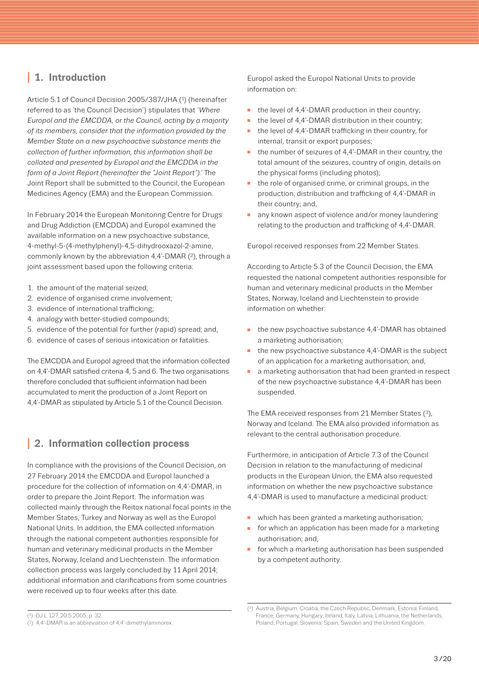# <span id="page-2-0"></span>**<sup>I</sup> 1. Introduction**

Article 5.1 of Council Decision 2005/387/JHA (1) (hereinafter referred to as 'the Council Decision') stipulates that *'Where Europol and the EMCDDA, or the Council, acting by a majority of its members, consider that the information provided by the Member State on a new psychoactive substance merits the collection of further information, this information shall be collated and presented by Europol and the EMCDDA in the form of a Joint Report (hereinafter the "Joint Report").'* The Joint Report shall be submitted to the Council, the European Medicines Agency (EMA) and the European Commission.

In February 2014 the European Monitoring Centre for Drugs and Drug Addiction (EMCDDA) and Europol examined the available information on a new psychoactive substance, 4-methyl-5-(4-methylphenyl)-4,5-dihydrooxazol-2-amine, commonly known by the abbreviation 4,4′-DMAR (2), through a joint assessment based upon the following criteria:

- 1. the amount of the material seized;
- 2. evidence of organised crime involvement;
- 3. evidence of international trafficking;
- 4. analogy with better-studied compounds;
- 5. evidence of the potential for further (rapid) spread; and,
- 6. evidence of cases of serious intoxication or fatalities.

The EMCDDA and Europol agreed that the information collected on 4,4′-DMAR satisfied criteria 4, 5 and 6. The two organisations therefore concluded that sufficient information had been accumulated to merit the production of a Joint Report on 4,4′-DMAR as stipulated by Article 5.1 of the Council Decision.

# **<sup>I</sup> 2. Information collection process**

In compliance with the provisions of the Council Decision, on 27 February 2014 the EMCDDA and Europol launched a procedure for the collection of information on 4,4′-DMAR, in order to prepare the Joint Report. The information was collected mainly through the Reitox national focal points in the Member States, Turkey and Norway as well as the Europol National Units. In addition, the EMA collected information through the national competent authorities responsible for human and veterinary medicinal products in the Member States, Norway, Iceland and Liechtenstein. The information collection process was largely concluded by 11 April 2014; additional information and clarifications from some countries were received up to four weeks after this date.

Europol asked the Europol National Units to provide information on:

- the level of 4,4′-DMAR production in their country;
- the level of 4,4'-DMAR distribution in their country;
- the level of 4.4'-DMAR trafficking in their country, for internal, transit or export purposes;
- the number of seizures of 4,4′-DMAR in their country, the total amount of the seizures, country of origin, details on the physical forms (including photos);
- $\blacksquare$  the role of organised crime, or criminal groups, in the production, distribution and trafficking of 4,4′-DMAR in their country; and,
- any known aspect of violence and/or money laundering relating to the production and trafficking of 4,4′-DMAR.

Europol received responses from 22 Member States.

According to Article 5.3 of the Council Decision, the EMA requested the national competent authorities responsible for human and veterinary medicinal products in the Member States, Norway, Iceland and Liechtenstein to provide information on whether:

- the new psychoactive substance 4,4'-DMAR has obtained a marketing authorisation;
- the new psychoactive substance 4,4'-DMAR is the subject of an application for a marketing authorisation; and,
- n a marketing authorisation that had been granted in respect of the new psychoactive substance 4,4′-DMAR has been suspended.

The EMA received responses from 21 Member States (3), Norway and Iceland. The EMA also provided information as relevant to the central authorisation procedure.

Furthermore, in anticipation of Article 7.3 of the Council Decision in relation to the manufacturing of medicinal products in the European Union, the EMA also requested information on whether the new psychoactive substance 4,4′-DMAR is used to manufacture a medicinal product:

- n which has been granted a marketing authorisation;
- for which an application has been made for a marketing authorisation; and,
- for which a marketing authorisation has been suspended by a competent authority.

<sup>(3)</sup> Austria, Belgium, Croatia, the Czech Republic, Denmark, Estonia, Finland, France, Germany, Hungary, Ireland, Italy, Latvia, Lithuania, the Netherlands, Poland, Portugal, Slovenia, Spain, Sweden and the United Kingdom.

<sup>(1)</sup> OJ L 127, 20.5.2005, p. 32.

<sup>(2) 4,4′-</sup>DMAR is an abbreviation of 4,4′-dimethylaminorex.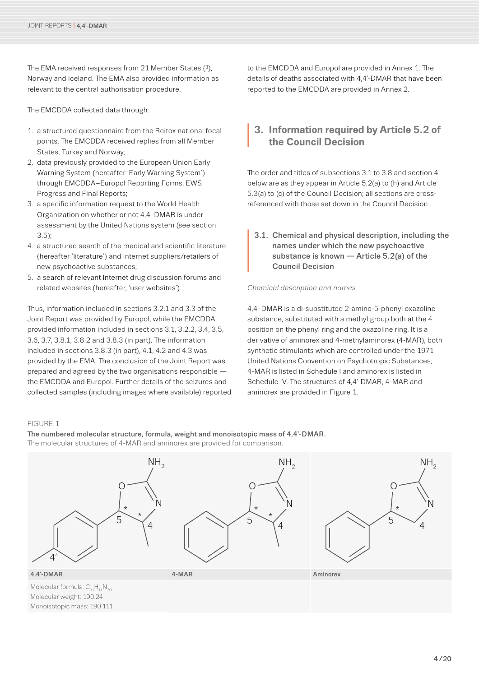<span id="page-3-0"></span>The EMA received responses from 21 Member States (3), Norway and Iceland. The EMA also provided information as relevant to the central authorisation procedure.

The EMCDDA collected data through:

- 1. a structured questionnaire from the Reitox national focal points. The EMCDDA received replies from all Member States, Turkey and Norway;
- 2. data previously provided to the European Union Early Warning System (hereafter 'Early Warning System') through EMCDDA–Europol Reporting Forms, EWS Progress and Final Reports;
- 3. a specific information request to the World Health Organization on whether or not 4,4′-DMAR is under assessment by the United Nations system (see section 3.5);
- 4. a structured search of the medical and scientific literature (hereafter 'literature') and Internet suppliers/retailers of new psychoactive substances;
- 5. a search of relevant Internet drug discussion forums and related websites (hereafter, 'user websites').

Thus, information included in sections 3.2.1 and 3.3 of the Joint Report was provided by Europol, while the EMCDDA provided information included in sections 3.1, 3.2.2, 3.4, 3.5, 3.6, 3.7, 3.8.1, 3.8.2 and 3.8.3 (in part). The information included in sections 3.8.3 (in part), 4.1, 4.2 and 4.3 was provided by the EMA. The conclusion of the Joint Report was prepared and agreed by the two organisations responsible the EMCDDA and Europol. Further details of the seizures and collected samples (including images where available) reported to the EMCDDA and Europol are provided in Annex 1. The details of deaths associated with 4,4′-DMAR that have been reported to the EMCDDA are provided in Annex 2.

# **<sup>I</sup> 3. Information required by Article 5.2 of the Council Decision**

The order and titles of subsections 3.1 to 3.8 and section 4 below are as they appear in Article 5.2(a) to (h) and Article 5.3(a) to (c) of the Council Decision; all sections are crossreferenced with those set down in the Council Decision.

#### **<sup>I</sup>** 3.1. Chemical and physical description, including the names under which the new psychoactive substance is known — Article 5.2(a) of the Council Decision

#### *Chemical description and names*

4,4′-DMAR is a di-substituted 2-amino-5-phenyl oxazoline substance, substituted with a methyl group both at the 4 position on the phenyl ring and the oxazoline ring. It is a derivative of aminorex and 4-methylaminorex (4-MAR), both synthetic stimulants which are controlled under the 1971 United Nations Convention on Psychotropic Substances; 4-MAR is listed in Schedule I and aminorex is listed in Schedule IV. The structures of 4,4′-DMAR, 4-MAR and aminorex are provided in Figure 1.

#### FIGURE 1

The numbered molecular structure, formula, weight and monoisotopic mass of 4,4′-DMAR. The molecular structures of 4-MAR and aminorex are provided for comparison.

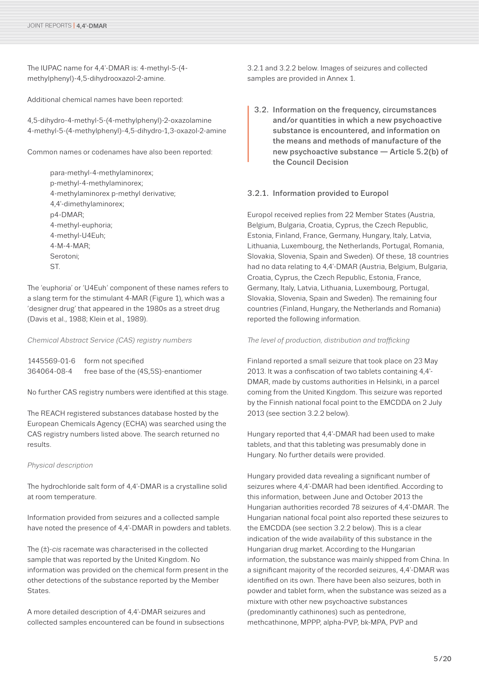<span id="page-4-0"></span>The IUPAC name for 4,4'-DMAR is: 4-methyl-5-(4methylphenyl)-4,5-dihydrooxazol-2-amine.

Additional chemical names have been reported:

4,5-dihydro-4-methyl-5-(4-methylphenyl)-2-oxazolamine 4-methyl-5-(4-methylphenyl)-4,5-dihydro-1,3-oxazol-2-amine

Common names or codenames have also been reported:

para-methyl-4-methylaminorex; p-methyl-4-methylaminorex; 4-methylaminorex p-methyl derivative; 4,4′-dimethylaminorex; p4-DMAR; 4-methyl-euphoria; 4-methyl-U4Euh; 4-M-4-MAR; Serotoni; ST.

The 'euphoria' or 'U4Euh' component of these names refers to a slang term for the stimulant 4-MAR (Figure 1), which was a 'designer drug' that appeared in the 1980s as a street drug (Davis et al., 1988; Klein et al., 1989).

*Chemical Abstract Service (CAS) registry numbers*

1445569-01-6 form not specified 364064-08-4 free base of the (4S,5S)-enantiomer

No further CAS registry numbers were identified at this stage.

The REACH registered substances database hosted by the European Chemicals Agency (ECHA) was searched using the CAS registry numbers listed above. The search returned no results.

#### *Physical description*

The hydrochloride salt form of 4,4′-DMAR is a crystalline solid at room temperature.

Information provided from seizures and a collected sample have noted the presence of 4,4′-DMAR in powders and tablets.

The (±)-*cis* racemate was characterised in the collected sample that was reported by the United Kingdom. No information was provided on the chemical form present in the other detections of the substance reported by the Member **States** 

A more detailed description of 4,4′-DMAR seizures and collected samples encountered can be found in subsections 3.2.1 and 3.2.2 below. Images of seizures and collected samples are provided in Annex 1.

**<sup>I</sup>** 3.2. Information on the frequency, circumstances and/or quantities in which a new psychoactive substance is encountered, and information on the means and methods of manufacture of the new psychoactive substance — Article 5.2(b) of the Council Decision

#### 3.2.1. Information provided to Europol

Europol received replies from 22 Member States (Austria, Belgium, Bulgaria, Croatia, Cyprus, the Czech Republic, Estonia, Finland, France, Germany, Hungary, Italy, Latvia, Lithuania, Luxembourg, the Netherlands, Portugal, Romania, Slovakia, Slovenia, Spain and Sweden). Of these, 18 countries had no data relating to 4,4′-DMAR (Austria, Belgium, Bulgaria, Croatia, Cyprus, the Czech Republic, Estonia, France, Germany, Italy, Latvia, Lithuania, Luxembourg, Portugal, Slovakia, Slovenia, Spain and Sweden). The remaining four countries (Finland, Hungary, the Netherlands and Romania) reported the following information.

*The level of production, distribution and trafficking*

Finland reported a small seizure that took place on 23 May 2013. It was a confiscation of two tablets containing 4,4′- DMAR, made by customs authorities in Helsinki, in a parcel coming from the United Kingdom. This seizure was reported by the Finnish national focal point to the EMCDDA on 2 July 2013 (see section 3.2.2 below).

Hungary reported that 4,4′-DMAR had been used to make tablets, and that this tableting was presumably done in Hungary. No further details were provided.

Hungary provided data revealing a significant number of seizures where 4,4′-DMAR had been identified. According to this information, between June and October 2013 the Hungarian authorities recorded 78 seizures of 4,4′-DMAR. The Hungarian national focal point also reported these seizures to the EMCDDA (see section 3.2.2 below). This is a clear indication of the wide availability of this substance in the Hungarian drug market. According to the Hungarian information, the substance was mainly shipped from China. In a significant majority of the recorded seizures, 4,4′-DMAR was identified on its own. There have been also seizures, both in powder and tablet form, when the substance was seized as a mixture with other new psychoactive substances (predominantly cathinones) such as pentedrone, methcathinone, MPPP, alpha-PVP, bk-MPA, PVP and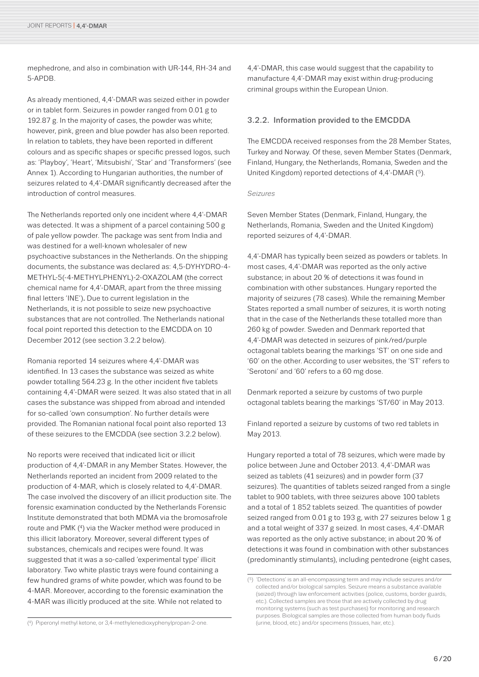<span id="page-5-0"></span>mephedrone, and also in combination with UR-144, RH-34 and 5-APDB.

As already mentioned, 4,4′-DMAR was seized either in powder or in tablet form. Seizures in powder ranged from 0.01 g to 192.87 g. In the majority of cases, the powder was white; however, pink, green and blue powder has also been reported. In relation to tablets, they have been reported in different colours and as specific shapes or specific pressed logos, such as: 'Playboy', 'Heart', 'Mitsubishi', 'Star' and 'Transformers' (see Annex 1). According to Hungarian authorities, the number of seizures related to 4,4′-DMAR significantly decreased after the introduction of control measures.

The Netherlands reported only one incident where 4,4′-DMAR was detected. It was a shipment of a parcel containing 500 g of pale yellow powder. The package was sent from India and was destined for a well-known wholesaler of new psychoactive substances in the Netherlands. On the shipping documents, the substance was declared as: 4,5-DYHYDRO-4- METHYL-5(-4-METHYLPHENYL)-2-OXAZOLAM (the correct chemical name for 4,4′-DMAR, apart from the three missing final letters 'INE'). Due to current legislation in the Netherlands, it is not possible to seize new psychoactive substances that are not controlled. The Netherlands national focal point reported this detection to the EMCDDA on 10 December 2012 (see section 3.2.2 below).

Romania reported 14 seizures where 4,4′-DMAR was identified. In 13 cases the substance was seized as white powder totalling 564.23 g. In the other incident five tablets containing 4,4′-DMAR were seized. It was also stated that in all cases the substance was shipped from abroad and intended for so-called 'own consumption'. No further details were provided. The Romanian national focal point also reported 13 of these seizures to the EMCDDA (see section 3.2.2 below).

No reports were received that indicated licit or illicit production of 4,4′-DMAR in any Member States. However, the Netherlands reported an incident from 2009 related to the production of 4-MAR, which is closely related to 4,4′-DMAR. The case involved the discovery of an illicit production site. The forensic examination conducted by the Netherlands Forensic Institute demonstrated that both MDMA via the bromosafrole route and PMK (4) via the Wacker method were produced in this illicit laboratory. Moreover, several different types of substances, chemicals and recipes were found. It was suggested that it was a so-called 'experimental type' illicit laboratory. Two white plastic trays were found containing a few hundred grams of white powder, which was found to be 4-MAR. Moreover, according to the forensic examination the 4-MAR was illicitly produced at the site. While not related to

4,4′-DMAR, this case would suggest that the capability to manufacture 4,4′-DMAR may exist within drug-producing criminal groups within the European Union.

#### 3.2.2. Information provided to the EMCDDA

The EMCDDA received responses from the 28 Member States, Turkey and Norway. Of these, seven Member States (Denmark, Finland, Hungary, the Netherlands, Romania, Sweden and the United Kingdom) reported detections of 4,4′-DMAR (5).

#### *Seizures*

Seven Member States (Denmark, Finland, Hungary, the Netherlands, Romania, Sweden and the United Kingdom) reported seizures of 4,4′-DMAR.

4,4′-DMAR has typically been seized as powders or tablets. In most cases, 4,4′-DMAR was reported as the only active substance; in about 20 % of detections it was found in combination with other substances. Hungary reported the majority of seizures (78 cases). While the remaining Member States reported a small number of seizures, it is worth noting that in the case of the Netherlands these totalled more than 260 kg of powder. Sweden and Denmark reported that 4,4′-DMAR was detected in seizures of pink/red/purple octagonal tablets bearing the markings 'ST' on one side and '60' on the other. According to user websites, the 'ST' refers to 'Serotoni' and '60' refers to a 60 mg dose.

Denmark reported a seizure by customs of two purple octagonal tablets bearing the markings 'ST/60' in May 2013.

Finland reported a seizure by customs of two red tablets in May 2013.

Hungary reported a total of 78 seizures, which were made by police between June and October 2013. 4,4′-DMAR was seized as tablets (41 seizures) and in powder form (37 seizures). The quantities of tablets seized ranged from a single tablet to 900 tablets, with three seizures above 100 tablets and a total of 1 852 tablets seized. The quantities of powder seized ranged from 0.01 g to 193 g, with 27 seizures below 1 g and a total weight of 337 g seized. In most cases, 4,4′-DMAR was reported as the only active substance; in about 20 % of detections it was found in combination with other substances (predominantly stimulants), including pentedrone (eight cases,

(4) Piperonyl methyl ketone, or 3,4-methylenedioxyphenylpropan-2-one.

<sup>(5) &#</sup>x27;Detections' is an all-encompassing term and may include seizures and/or collected and/or biological samples. Seizure means a substance available (seized) through law enforcement activities (police, customs, border guards, etc.). Collected samples are those that are actively collected by drug monitoring systems (such as test purchases) for monitoring and research purposes. Biological samples are those collected from human body fluids (urine, blood, etc.) and/or specimens (tissues, hair, etc.).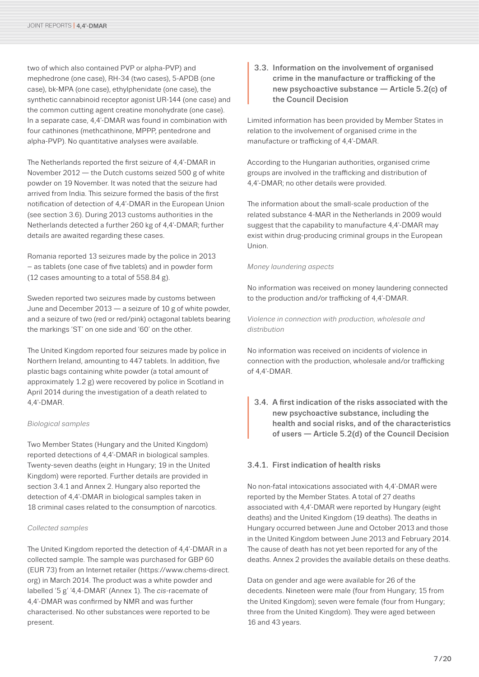<span id="page-6-0"></span>two of which also contained PVP or alpha-PVP) and mephedrone (one case), RH-34 (two cases), 5-APDB (one case), bk-MPA (one case), ethylphenidate (one case), the synthetic cannabinoid receptor agonist UR-144 (one case) and the common cutting agent creatine monohydrate (one case). In a separate case, 4,4′-DMAR was found in combination with four cathinones (methcathinone, MPPP, pentedrone and alpha-PVP). No quantitative analyses were available.

The Netherlands reported the first seizure of 4,4′-DMAR in November 2012 — the Dutch customs seized 500 g of white powder on 19 November. It was noted that the seizure had arrived from India. This seizure formed the basis of the first notification of detection of 4,4′-DMAR in the European Union (see section 3.6). During 2013 customs authorities in the Netherlands detected a further 260 kg of 4,4′-DMAR; further details are awaited regarding these cases.

Romania reported 13 seizures made by the police in 2013 – as tablets (one case of five tablets) and in powder form (12 cases amounting to a total of 558.84 g).

Sweden reported two seizures made by customs between June and December 2013 — a seizure of 10 g of white powder, and a seizure of two (red or red/pink) octagonal tablets bearing the markings 'ST' on one side and '60' on the other.

The United Kingdom reported four seizures made by police in Northern Ireland, amounting to 447 tablets. In addition, five plastic bags containing white powder (a total amount of approximately 1.2 g) were recovered by police in Scotland in April 2014 during the investigation of a death related to 4,4′-DMAR.

#### *Biological samples*

Two Member States (Hungary and the United Kingdom) reported detections of 4,4′-DMAR in biological samples. Twenty-seven deaths (eight in Hungary; 19 in the United Kingdom) were reported. Further details are provided in section 3.4.1 and Annex 2. Hungary also reported the detection of 4,4′-DMAR in biological samples taken in 18 criminal cases related to the consumption of narcotics.

#### *Collected samples*

The United Kingdom reported the detection of 4,4′-DMAR in a collected sample. The sample was purchased for GBP 60 (EUR 73) from an Internet retailer (https://www.chems-direct. org) in March 2014. The product was a white powder and labelled '5 g' '4,4-DMAR' (Annex 1). The *cis*-racemate of 4,4′-DMAR was confirmed by NMR and was further characterised. No other substances were reported to be present.

3.3. Information on the involvement of organised<br>crime in the manufacture or trafficking of the<br>new psychoactive substance — Article 5.2(c<br>the Council Decision crime in the manufacture or trafficking of the new psychoactive substance — Article 5.2(c) of the Council Decision

Limited information has been provided by Member States in relation to the involvement of organised crime in the manufacture or trafficking of 4,4′-DMAR.

According to the Hungarian authorities, organised crime groups are involved in the trafficking and distribution of 4,4′-DMAR; no other details were provided.

The information about the small-scale production of the related substance 4-MAR in the Netherlands in 2009 would suggest that the capability to manufacture 4,4′-DMAR may exist within drug-producing criminal groups in the European Union.

#### *Money laundering aspects*

No information was received on money laundering connected to the production and/or trafficking of 4,4′-DMAR.

*Violence in connection with production, wholesale and distribution*

No information was received on incidents of violence in connection with the production, wholesale and/or trafficking of 4,4′-DMAR.

3.4. A first indication of the risks associated with the new psychoactive substance, including the health and social risks, and of the characteristics of users — Article 5.2(d) of the Council Decision new psychoactive substance, including the health and social risks, and of the characteristics

#### 3.4.1. First indication of health risks

No non-fatal intoxications associated with 4,4′-DMAR were reported by the Member States. A total of 27 deaths associated with 4,4′-DMAR were reported by Hungary (eight deaths) and the United Kingdom (19 deaths). The deaths in Hungary occurred between June and October 2013 and those in the United Kingdom between June 2013 and February 2014. The cause of death has not yet been reported for any of the deaths. Annex 2 provides the available details on these deaths.

Data on gender and age were available for 26 of the decedents. Nineteen were male (four from Hungary; 15 from the United Kingdom); seven were female (four from Hungary; three from the United Kingdom). They were aged between 16 and 43 years.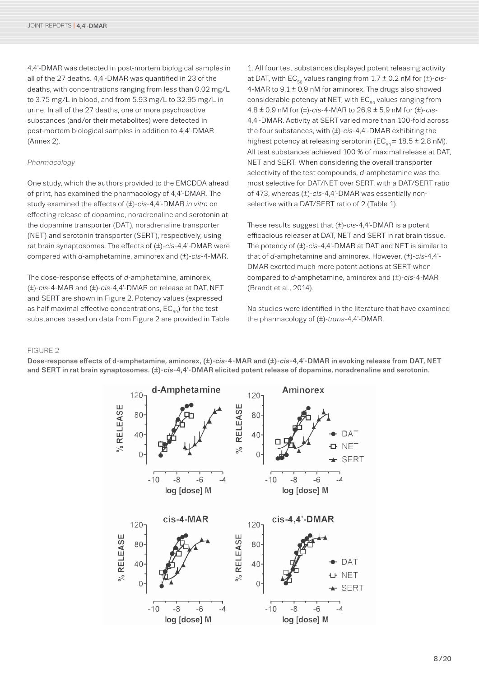4,4′-DMAR was detected in post-mortem biological samples in all of the 27 deaths. 4,4′-DMAR was quantified in 23 of the deaths, with concentrations ranging from less than 0.02 mg/L to 3.75 mg/L in blood, and from 5.93 mg/L to 32.95 mg/L in urine. In all of the 27 deaths, one or more psychoactive substances (and/or their metabolites) were detected in post-mortem biological samples in addition to 4,4′-DMAR (Annex 2).

#### *Pharmacology*

One study, which the authors provided to the EMCDDA ahead of print, has examined the pharmacology of 4,4′-DMAR. The study examined the effects of (±)-*cis*-4,4′-DMAR *in vitro* on effecting release of dopamine, noradrenaline and serotonin at the dopamine transporter (DAT), noradrenaline transporter (NET) and serotonin transporter (SERT), respectively, using rat brain synaptosomes. The effects of (±)-*cis*-4,4′-DMAR were compared with *d*-amphetamine, aminorex and (±)-*cis*-4-MAR.

The dose-response effects of *d*-amphetamine, aminorex, (±)-*cis*-4-MAR and (±)-*cis*-4,4′-DMAR on release at DAT, NET and SERT are shown in Figure 2. Potency values (expressed as half maximal effective concentrations,  $EC_{50}$  for the test substances based on data from Figure 2 are provided in Table

1. All four test substances displayed potent releasing activity at DAT, with  $EC_{50}$  values ranging from  $1.7 \pm 0.2$  nM for  $(\pm)$ -cis-4-MAR to  $9.1 \pm 0.9$  nM for aminorex. The drugs also showed considerable potency at NET, with  $EC_{50}$  values ranging from 4.8 ± 0.9 nM for (±)-*cis*-4-MAR to 26.9 ± 5.9 nM for (±)-*cis*-4,4′-DMAR. Activity at SERT varied more than 100-fold across the four substances, with (±)-*cis*-4,4′-DMAR exhibiting the highest potency at releasing serotonin ( $EC_{50} = 18.5 \pm 2.8$  nM). All test substances achieved 100 % of maximal release at DAT, NET and SERT. When considering the overall transporter selectivity of the test compounds, *d*-amphetamine was the most selective for DAT/NET over SERT, with a DAT/SERT ratio of 473, whereas (±)-*cis*-4,4′-DMAR was essentially nonselective with a DAT/SERT ratio of 2 (Table 1).

These results suggest that (±)-*cis*-4,4′-DMAR is a potent efficacious releaser at DAT, NET and SERT in rat brain tissue. The potency of (±)-*cis*-4,4′-DMAR at DAT and NET is similar to that of *d*-amphetamine and aminorex. However, (±)-*cis*-4,4′- DMAR exerted much more potent actions at SERT when compared to *d*-amphetamine, aminorex and (±)-*cis*-4-MAR (Brandt et al., 2014).

No studies were identified in the literature that have examined the pharmacology of (±)-*trans*-4,4′-DMAR.

#### FIGURE 2

Dose-response effects of d-amphetamine, aminorex, (±)-*cis*-4-MAR and (±)-*cis*-4,4′-DMAR in evoking release from DAT, NET and SERT in rat brain synaptosomes. (±)-*cis*-4,4′-DMAR elicited potent release of dopamine, noradrenaline and serotonin.

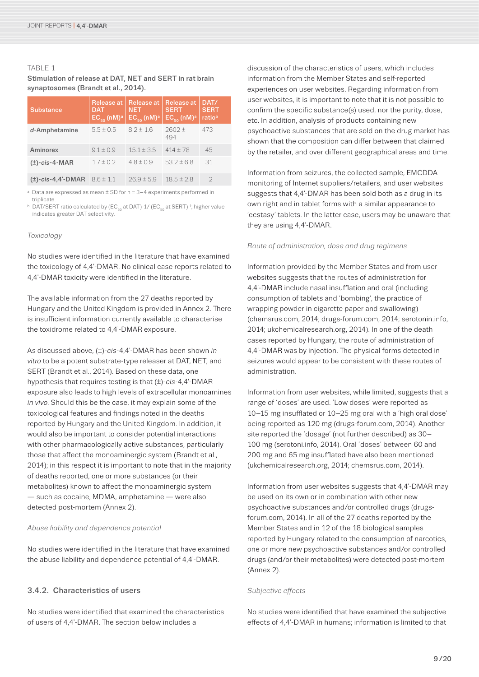#### <span id="page-8-0"></span>TABLE 1

Stimulation of release at DAT, NET and SERT in rat brain synaptosomes (Brandt et al., 2014).

| <b>Substance</b>       | Release at<br><b>DAT</b><br>$EC_{50}$ (nM) <sup>a</sup> | Release at<br><b>NET</b><br>$EC_{50}$ (nM) <sup>a</sup> | Release at<br><b>SERT</b><br>$EC_{50}$ (nM) <sup>a</sup> | DAT/<br><b>SERT</b><br>ratiob |
|------------------------|---------------------------------------------------------|---------------------------------------------------------|----------------------------------------------------------|-------------------------------|
| d-Amphetamine          | $5.5 \pm 0.5$                                           | $8.2 \pm 1.6$                                           | $2602 \pm$<br>494                                        | 473                           |
| Aminorex               | $9.1 \pm 0.9$                                           | $15.1 \pm 3.5$                                          | $414 \pm 78$                                             | 45                            |
| $(\pm)$ -cis-4-MAR     | $1.7 \pm 0.2$                                           | $4.8 \pm 0.9$                                           | $53.2 \pm 6.8$                                           | 31                            |
| $(\pm)$ -cis-4,4'-DMAR | $8.6 \pm 1.1$                                           | $26.9 \pm 5.9$                                          | $18.5 \pm 2.8$                                           | $\mathcal{D}$                 |

<sup>a</sup> Data are expressed as mean  $\pm$  SD for n = 3–4 experiments performed in triplicate.

**b** DAT/SERT ratio calculated by (EC<sub>50</sub> at DAT)-1/ (EC<sub>50</sub> at SERT)<sup>-1</sup>; higher value indicates greater DAT selectivity.

#### *Toxicology*

No studies were identified in the literature that have examined the toxicology of 4,4′-DMAR. No clinical case reports related to 4,4′-DMAR toxicity were identified in the literature.

The available information from the 27 deaths reported by Hungary and the United Kingdom is provided in Annex 2. There is insufficient information currently available to characterise the toxidrome related to 4,4′-DMAR exposure.

As discussed above, (±)-*cis*-4,4′-DMAR has been shown *in vitro* to be a potent substrate-type releaser at DAT, NET, and SERT (Brandt et al., 2014). Based on these data, one hypothesis that requires testing is that (±)-*cis*-4,4′-DMAR exposure also leads to high levels of extracellular monoamines *in vivo*. Should this be the case, it may explain some of the toxicological features and findings noted in the deaths reported by Hungary and the United Kingdom. In addition, it would also be important to consider potential interactions with other pharmacologically active substances, particularly those that affect the monoaminergic system (Brandt et al., 2014); in this respect it is important to note that in the majority of deaths reported, one or more substances (or their metabolites) known to affect the monoaminergic system — such as cocaine, MDMA, amphetamine — were also detected post-mortem (Annex 2).

#### *Abuse liability and dependence potential*

No studies were identified in the literature that have examined the abuse liability and dependence potential of 4,4′-DMAR.

#### 3.4.2. Characteristics of users

No studies were identified that examined the characteristics of users of 4,4′-DMAR. The section below includes a

discussion of the characteristics of users, which includes information from the Member States and self-reported experiences on user websites. Regarding information from user websites, it is important to note that it is not possible to confirm the specific substance(s) used, nor the purity, dose, etc. In addition, analysis of products containing new psychoactive substances that are sold on the drug market has shown that the composition can differ between that claimed by the retailer, and over different geographical areas and time.

Information from seizures, the collected sample, EMCDDA monitoring of Internet suppliers/retailers, and user websites suggests that 4,4′-DMAR has been sold both as a drug in its own right and in tablet forms with a similar appearance to 'ecstasy' tablets. In the latter case, users may be unaware that they are using 4,4′-DMAR.

#### *Route of administration, dose and drug regimens*

Information provided by the Member States and from user websites suggests that the routes of administration for 4,4′-DMAR include nasal insufflation and oral (including consumption of tablets and 'bombing', the practice of wrapping powder in cigarette paper and swallowing) (chemsrus.com, 2014; drugs-forum.com, 2014; serotonin.info, 2014; ukchemicalresearch.org, 2014). In one of the death cases reported by Hungary, the route of administration of 4,4′-DMAR was by injection. The physical forms detected in seizures would appear to be consistent with these routes of administration.

Information from user websites, while limited, suggests that a range of 'doses' are used. 'Low doses' were reported as 10–15 mg insufflated or 10–25 mg oral with a 'high oral dose' being reported as 120 mg (drugs-forum.com, 2014). Another site reported the 'dosage' (not further described) as 30– 100 mg (serotoni.info, 2014). Oral 'doses' between 60 and 200 mg and 65 mg insufflated have also been mentioned (ukchemicalresearch.org, 2014; chemsrus.com, 2014).

Information from user websites suggests that 4,4′-DMAR may be used on its own or in combination with other new psychoactive substances and/or controlled drugs (drugsforum.com, 2014). In all of the 27 deaths reported by the Member States and in 12 of the 18 biological samples reported by Hungary related to the consumption of narcotics, one or more new psychoactive substances and/or controlled drugs (and/or their metabolites) were detected post-mortem (Annex 2).

#### *Subjective effects*

No studies were identified that have examined the subjective effects of 4,4′-DMAR in humans; information is limited to that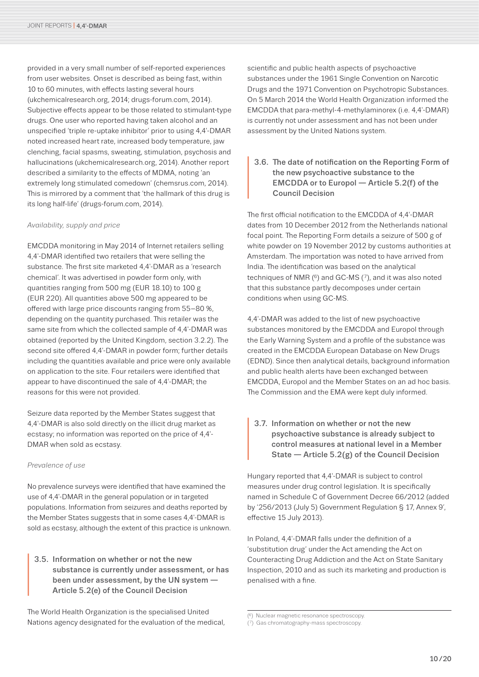<span id="page-9-0"></span>provided in a very small number of self-reported experiences from user websites. Onset is described as being fast, within 10 to 60 minutes, with effects lasting several hours (ukchemicalresearch.org, 2014; drugs-forum.com, 2014). Subjective effects appear to be those related to stimulant-type drugs. One user who reported having taken alcohol and an unspecified 'triple re-uptake inhibitor' prior to using 4,4′-DMAR noted increased heart rate, increased body temperature, jaw clenching, facial spasms, sweating, stimulation, psychosis and hallucinations (ukchemicalresearch.org, 2014). Another report described a similarity to the effects of MDMA, noting 'an extremely long stimulated comedown' (chemsrus.com, 2014). This is mirrored by a comment that 'the hallmark of this drug is its long half-life' (drugs-forum.com, 2014).

#### *Availability, supply and price*

EMCDDA monitoring in May 2014 of Internet retailers selling 4,4′-DMAR identified two retailers that were selling the substance. The first site marketed 4,4′-DMAR as a 'research chemical'. It was advertised in powder form only, with quantities ranging from 500 mg (EUR 18.10) to 100 g (EUR 220). All quantities above 500 mg appeared to be offered with large price discounts ranging from 55–80 %, depending on the quantity purchased. This retailer was the same site from which the collected sample of 4,4′-DMAR was obtained (reported by the United Kingdom, section 3.2.2). The second site offered 4,4'-DMAR in powder form; further details including the quantities available and price were only available on application to the site. Four retailers were identified that appear to have discontinued the sale of 4,4′-DMAR; the reasons for this were not provided.

Seizure data reported by the Member States suggest that 4,4′-DMAR is also sold directly on the illicit drug market as ecstasy; no information was reported on the price of 4,4′- DMAR when sold as ecstasy.

#### *Prevalence of use*

No prevalence surveys were identified that have examined the use of 4,4′-DMAR in the general population or in targeted populations. Information from seizures and deaths reported by the Member States suggests that in some cases 4,4′-DMAR is sold as ecstasy, although the extent of this practice is unknown.

3.5. Information on whether or not the new<br>substance is currently under assessme<br>been under assessment, by the UN sys<br>Article 5.2(e) of the Council Decision substance is currently under assessment, or has been under assessment, by the UN system — Article 5.2(e) of the Council Decision

The World Health Organization is the specialised United Nations agency designated for the evaluation of the medical, scientific and public health aspects of psychoactive substances under the 1961 Single Convention on Narcotic Drugs and the 1971 Convention on Psychotropic Substances. On 5 March 2014 the World Health Organization informed the EMCDDA that para-methyl-4-methylaminorex (i.e. 4,4′-DMAR) is currently not under assessment and has not been under assessment by the United Nations system.

3.6. The date of notification on the Reporting Form of<br>the new psychoactive substance to the<br>EMCDDA or to Europol — Article 5.2(f) of the<br>Council Decision the new psychoactive substance to the EMCDDA or to Europol — Article 5.2(f) of the Council Decision

The first official notification to the EMCDDA of 4,4′-DMAR dates from 10 December 2012 from the Netherlands national focal point. The Reporting Form details a seizure of 500 g of white powder on 19 November 2012 by customs authorities at Amsterdam. The importation was noted to have arrived from India. The identification was based on the analytical techniques of NMR  $(6)$  and GC-MS  $(7)$ , and it was also noted that this substance partly decomposes under certain conditions when using GC-MS.

4,4′-DMAR was added to the list of new psychoactive substances monitored by the EMCDDA and Europol through the Early Warning System and a profile of the substance was created in the EMCDDA European Database on New Drugs (EDND). Since then analytical details, background information and public health alerts have been exchanged between EMCDDA, Europol and the Member States on an ad hoc basis. The Commission and the EMA were kept duly informed.

3.7. Information on whether or not the new<br>psychoactive substance is already sub<br>control measures at national level in a<br>State — Article 5.2(g) of the Council D psychoactive substance is already subject to control measures at national level in a Member State — Article 5.2(g) of the Council Decision

Hungary reported that 4,4′-DMAR is subject to control measures under drug control legislation. It is specifically named in Schedule C of Government Decree 66/2012 (added by '256/2013 (July 5) Government Regulation § 17, Annex 9', effective 15 July 2013).

In Poland, 4,4′-DMAR falls under the definition of a 'substitution drug' under the Act amending the Act on Counteracting Drug Addiction and the Act on State Sanitary Inspection, 2010 and as such its marketing and production is penalised with a fine.

<sup>(6)</sup> Nuclear magnetic resonance spectroscopy.

<sup>(7)</sup> Gas chromatography-mass spectroscopy.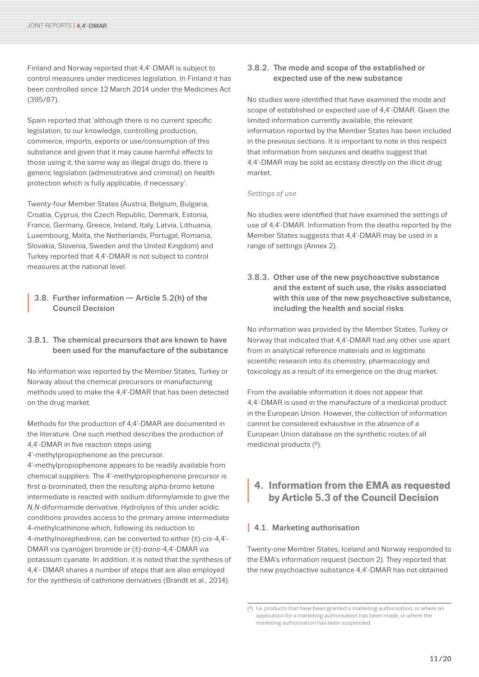<span id="page-10-0"></span>Finland and Norway reported that 44'-DMAR is subject to control measures under medicines legislation. In Finland it has been controlled since 12 March 2014 under the Medicines Act (395/87).

Spain reported that 'although there is no current specific legislation, to our knowledge, controlling production, commerce, imports, exports or use/consumption of this substance and given that it may cause harmful effects to those using it, the same way as illegal drugs do, there is generic legislation (administrative and criminal) on health protection which is fully applicable, if necessary'.

Twenty-four Member States (Austria, Belgium, Bulgaria, Croatia, Cyprus, the Czech Republic, Denmark, Estonia, France, Germany, Greece, Ireland, Italy, Latvia, Lithuania, Luxembourg, Malta, the Netherlands, Portugal, Romania, Slovakia, Slovenia, Sweden and the United Kingdom) and Turkey reported that 4,4′-DMAR is not subject to control measures at the national level.

#### **<sup>I</sup>** 3.8. Further information — Article 5.2(h) of the Council Decision

#### 3.8.1. The chemical precursors that are known to have been used for the manufacture of the substance

No information was reported by the Member States, Turkey or Norway about the chemical precursors or manufacturing methods used to make the 4,4′-DMAR that has been detected on the drug market.

Methods for the production of 4,4′-DMAR are documented in the literature. One such method describes the production of 4,4′-DMAR in five reaction steps using

4'-methylpropiophenone as the precursor.

4'-methylpropiophenone appears to be readily available from chemical suppliers. The 4'-methylpropiophenone precursor is first α-brominated, then the resulting alpha-bromo ketone intermediate is reacted with sodium diformylamide to give the *N,N*-diformamide derivative. Hydrolysis of this under acidic conditions provides access to the primary amine intermediate 4-methylcathinone which, following its reduction to 4-methylnorephedrine, can be converted to either (±)-*cis*-4,4′- DMAR via cyanogen bromide or (±)-*trans*-4,4′-DMAR via potassium cyanate. In addition, it is noted that the synthesis of 4,4'- DMAR shares a number of steps that are also employed for the synthesis of cathinone derivatives (Brandt et al., 2014).

#### 3.8.2. The mode and scope of the established or expected use of the new substance

No studies were identified that have examined the mode and scope of established or expected use of 4,4′-DMAR. Given the limited information currently available, the relevant information reported by the Member States has been included in the previous sections. It is important to note in this respect that information from seizures and deaths suggest that 4,4′-DMAR may be sold as ecstasy directly on the illicit drug market.

#### *Settings of use*

No studies were identified that have examined the settings of use of 4,4′-DMAR. Information from the deaths reported by the Member States suggests that 4,4′-DMAR may be used in a range of settings (Annex 2).

3.8.3. Other use of the new psychoactive substance and the extent of such use, the risks associated with this use of the new psychoactive substance, including the health and social risks

No information was provided by the Member States, Turkey or Norway that indicated that 4,4′-DMAR had any other use apart from in analytical reference materials and in legitimate scientific research into its chemistry, pharmacology and toxicology as a result of its emergence on the drug market.

From the available information it does not appear that 4,4′-DMAR is used in the manufacture of a medicinal product in the European Union. However, the collection of information cannot be considered exhaustive in the absence of a European Union database on the synthetic routes of all medicinal products (8).

# **<sup>I</sup> 4. Information from the EMA as requested by Article 5.3 of the Council Decision**

#### **1** 4.1. Marketing authorisation

Twenty-one Member States, Iceland and Norway responded to the EMA's information request (section 2). They reported that the new psychoactive substance 4,4′-DMAR has not obtained

 $(8)$  I.e. products that have been granted a marketing authorisation, or where an application for a marketing authorisation has been made, or where the marketing authorisation has been suspended.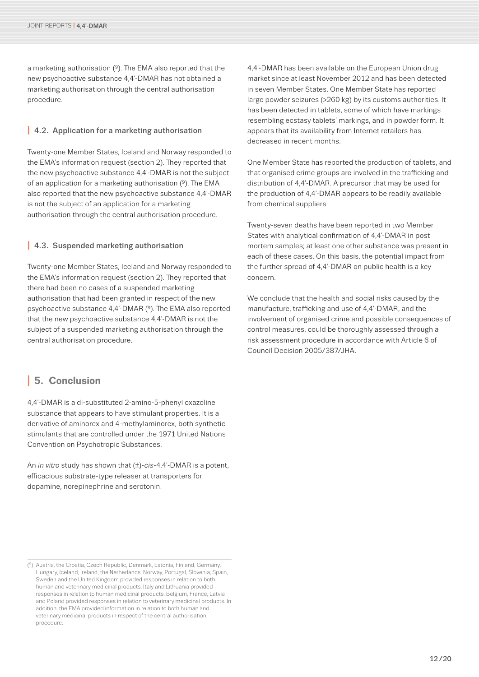<span id="page-11-0"></span>a marketing authorisation (9). The EMA also reported that the new psychoactive substance 4,4′-DMAR has not obtained a marketing authorisation through the central authorisation procedure.

#### **I** 4.2. Application for a marketing authorisation

Twenty-one Member States, Iceland and Norway responded to the EMA's information request (section 2). They reported that the new psychoactive substance 4,4′-DMAR is not the subject of an application for a marketing authorisation  $(9)$ . The EMA also reported that the new psychoactive substance 4,4′-DMAR is not the subject of an application for a marketing authorisation through the central authorisation procedure.

#### **I** 4.3. Suspended marketing authorisation

Twenty-one Member States, Iceland and Norway responded to the EMA's information request (section 2). They reported that there had been no cases of a suspended marketing authorisation that had been granted in respect of the new psychoactive substance 4,4′-DMAR (9). The EMA also reported that the new psychoactive substance 4,4′-DMAR is not the subject of a suspended marketing authorisation through the central authorisation procedure.

### **<sup>I</sup> 5. Conclusion**

4,4′-DMAR is a di-substituted 2-amino-5-phenyl oxazoline substance that appears to have stimulant properties. It is a derivative of aminorex and 4-methylaminorex, both synthetic stimulants that are controlled under the 1971 United Nations Convention on Psychotropic Substances.

An *in vitro* study has shown that (±)-*cis*-4,4′-DMAR is a potent, efficacious substrate-type releaser at transporters for dopamine, norepinephrine and serotonin.

4,4′-DMAR has been available on the European Union drug market since at least November 2012 and has been detected in seven Member States. One Member State has reported large powder seizures (>260 kg) by its customs authorities. It has been detected in tablets, some of which have markings resembling ecstasy tablets' markings, and in powder form. It appears that its availability from Internet retailers has decreased in recent months.

One Member State has reported the production of tablets, and that organised crime groups are involved in the trafficking and distribution of 4,4′-DMAR. A precursor that may be used for the production of 4,4′-DMAR appears to be readily available from chemical suppliers.

Twenty-seven deaths have been reported in two Member States with analytical confirmation of 4,4′-DMAR in post mortem samples; at least one other substance was present in each of these cases. On this basis, the potential impact from the further spread of 4,4′-DMAR on public health is a key concern.

We conclude that the health and social risks caused by the manufacture, trafficking and use of 4,4′-DMAR, and the involvement of organised crime and possible consequences of control measures, could be thoroughly assessed through a risk assessment procedure in accordance with Article 6 of Council Decision 2005/387/JHA.

<sup>(9)</sup> Austria, the Croatia, Czech Republic, Denmark, Estonia, Finland, Germany, Hungary, Iceland, Ireland, the Netherlands, Norway, Portugal, Slovenia, Spain, Sweden and the United Kingdom provided responses in relation to both human and veterinary medicinal products. Italy and Lithuania provided responses in relation to human medicinal products. Belgium, France, Latvia and Poland provided responses in relation to veterinary medicinal products. In addition, the EMA provided information in relation to both human and veterinary medicinal products in respect of the central authorisation procedure.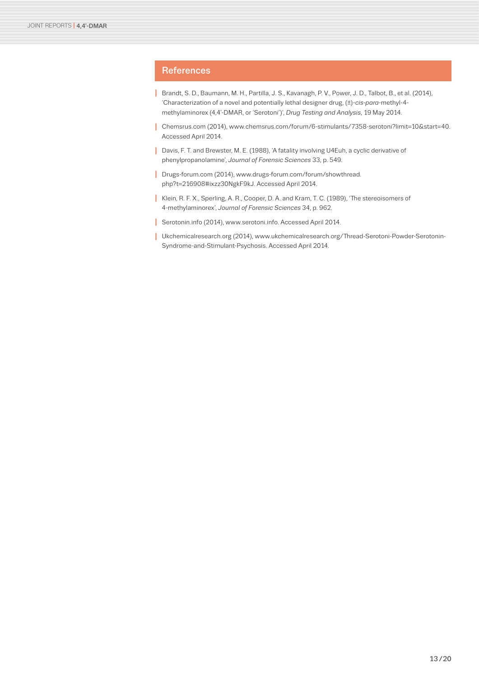## <span id="page-12-0"></span>**References**

- **I** Brandt, S. D., Baumann, M. H., Partilla, J. S., Kavanagh, P. V., Power, J. D., Talbot, B., et al. (2014), 'Characterization of a novel and potentially lethal designer drug, (±)-*cis-para*-methyl-4 methylaminorex (4,4′-DMAR, or 'Serotoni')', *Drug Testing and Analysis*, 19 May 2014.
- **I** Chemsrus.com (2014), www.chemsrus.com/forum/6-stimulants/7358-serotoni?limit=10&start=40. Accessed April 2014.
- **I** Davis, F. T. and Brewster, M. E. (1988), 'A fatality involving U4Euh, a cyclic derivative of phenylpropanolamine', *Journal of Forensic Sciences* 33, p. 549.
- **I** Drugs-forum.com (2014), www.drugs-forum.com/forum/showthread. php?t=216908#ixzz30NgkF9kJ. Accessed April 2014.
- **I** Klein, R. F. X., Sperling, A. R., Cooper, D. A. and Kram, T. C. (1989), 'The stereoisomers of 4-methylaminorex', *Journal of Forensic Sciences* 34, p. 962.
- **I** Serotonin.info (2014), www.serotoni.info. Accessed April 2014.
- **I** Ukchemicalresearch.org (2014), www.ukchemicalresearch.org/Thread-Serotoni-Powder-Serotonin-Syndrome-and-Stimulant-Psychosis. Accessed April 2014.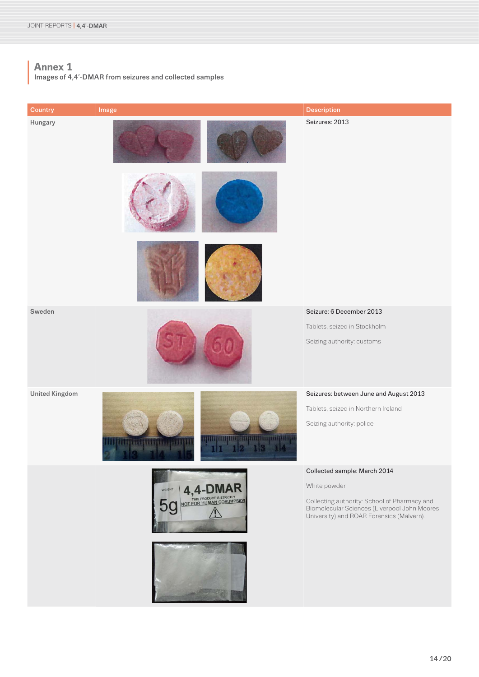<span id="page-13-0"></span>**<sup>I</sup> Annex 1** Images of 4,4'-DMAR from seizures and collected samples

| Country               | Image                                                 | <b>Description</b>                                                                                                                        |
|-----------------------|-------------------------------------------------------|-------------------------------------------------------------------------------------------------------------------------------------------|
| Hungary               |                                                       | Seizures: 2013                                                                                                                            |
|                       |                                                       |                                                                                                                                           |
|                       |                                                       |                                                                                                                                           |
| Sweden                |                                                       | Seizure: 6 December 2013                                                                                                                  |
|                       |                                                       | Tablets, seized in Stockholm                                                                                                              |
|                       |                                                       | Seizing authority: customs                                                                                                                |
| <b>United Kingdom</b> |                                                       | Seizures: between June and August 2013                                                                                                    |
|                       |                                                       | Tablets, seized in Northern Ireland                                                                                                       |
|                       | <b>THILIBER AND IN THE REAL PROPERTY</b><br>189955111 | Seizing authority: police                                                                                                                 |
|                       |                                                       | Collected sample: March 2014                                                                                                              |
|                       | 4,4<br>WEIGHT                                         | White powder                                                                                                                              |
|                       | NOT FOR HUMAN COSUMPSION                              | Collecting authority: School of Pharmacy and<br>Biomolecular Sciences (Liverpool John Moores<br>University) and ROAR Forensics (Malvern). |
|                       |                                                       |                                                                                                                                           |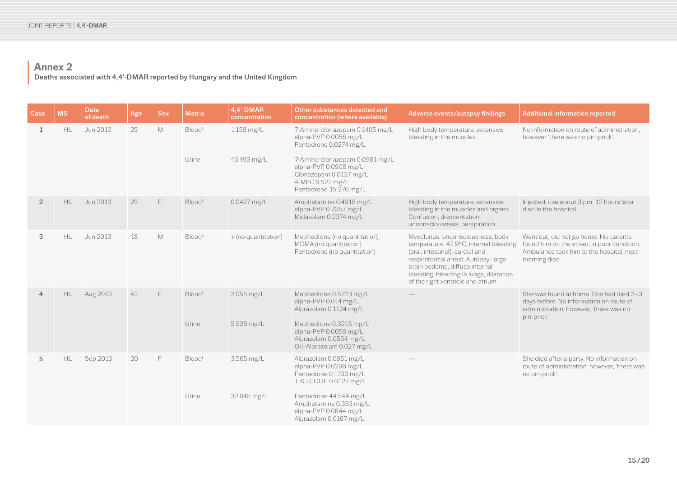# **<sup>I</sup> Annex 2** Deaths associated with 4,4′-DMAR reported by Hungary and the United Kingdom

| Case           | <b>MS</b> | <b>Date</b><br>of death | Age | <b>Sex</b> | <b>Matrix</b>                      | 4,4'-DMAR<br>concentration  | Other substances detected and<br>concentration (where available)                                                                                                                                                     | Adverse events/autopsy findings                                                                                                                                                                                                                                           | <b>Additional information reported</b>                                                                                                            |
|----------------|-----------|-------------------------|-----|------------|------------------------------------|-----------------------------|----------------------------------------------------------------------------------------------------------------------------------------------------------------------------------------------------------------------|---------------------------------------------------------------------------------------------------------------------------------------------------------------------------------------------------------------------------------------------------------------------------|---------------------------------------------------------------------------------------------------------------------------------------------------|
| 1              | <b>HU</b> | Jun 2013                | 25  | M          | Bloodf<br>Urine                    | $1.158$ mg/L<br>43.493 mg/L | 7-Amino-clonazepam 0.1405 mg/L<br>alpha-PVP 0.0056 mg/L<br>Pentedrone 0.0274 mg/L<br>7-Amino-clonazepam 0.0961 mg/L<br>alpha-PVP 0.0908 mg/L<br>Clonazepam 0.0137 mg/L<br>4-MEC 6.522 mg/L<br>Pentedrone 15.276 mg/L | High body temperature, extensive<br>bleeding in the muscles.                                                                                                                                                                                                              | No information on route of administration.<br>however 'there was no pin-prick'.                                                                   |
| $\overline{2}$ | <b>HU</b> | Jun 2013                | 25  | F          | Bloodf                             | 0.0427 mg/L                 | Amphetamine 0.4918 mg/L<br>alpha-PVP 0.2357 mg/L<br>Midazolam 0.2374 mg/L                                                                                                                                            | High body temperature, extensive<br>bleeding in the muscles and organs.<br>Confusion, disorientation,<br>unconsciousness, perspiration.                                                                                                                                   | Injected, use about 3 pm, 12 hours later<br>died in the hospital.                                                                                 |
| 3              | <b>HU</b> | Jun 2013                | 18  | M          | <b>Blood</b> <sup>u</sup>          | + (no quantitation)         | Mephedrone (no quantitation)<br>MDMA (no quantitation)<br>Pentedrone (no quantitation)                                                                                                                               | Myoclonus, unconsciousness, body<br>temperature: 42.9°C, internal bleeding<br>(oral, intestinal), cardial and<br>respiratorical arrest. Autopsy: large<br>brain oedema, diffuse internal<br>bleeding, bleeding in lungs, dilatation<br>of the right ventricle and atrium. | Went out, did not go home. His parents<br>found him on the street, in poor condition.<br>Ambulance took him to the hospital, next<br>morning died |
| 4              | HU        | Aug 2013                | 43  | F          | Bloodf<br>Urine                    | 2.055 mg/L<br>5.928 mg/L    | Mephedrone 0.5723 mg/L<br>alpha-PVP 0.014 mg/L<br>Alprazolam 0.1124 mg/L<br>Mephedrone 0.3215 mg/L<br>alpha-PVP 0.0056 mg/L<br>Alprazolam 0.0534 mg/L<br>OH-Alprazolam 0.027 mg/L                                    |                                                                                                                                                                                                                                                                           | She was found at home. She had died 2-3<br>days before. No information on route of<br>administration; however, 'there was no<br>pin-prick'.       |
| 5              | <b>HU</b> | Sep 2013                | 20  | F          | <b>Blood</b> <sup>f</sup><br>Urine | 3.565 mg/L<br>32.945 mg/L   | Alprazolam 0.0951 mg/L<br>alpha-PVP 0.0296 mg/L<br>Pentedrone 0.1730 mg/L<br>THC-COOH 0.0127 mg/L<br>Pentedrone 44.544 mg/L<br>Amphetamine 0.353 mg/L<br>alpha-PVP 0.0844 mg/L<br>Alprazolam 0.0167 mg/L             |                                                                                                                                                                                                                                                                           | She died after a party. No information on<br>route of administration; however, 'there was<br>no pin-prick'.                                       |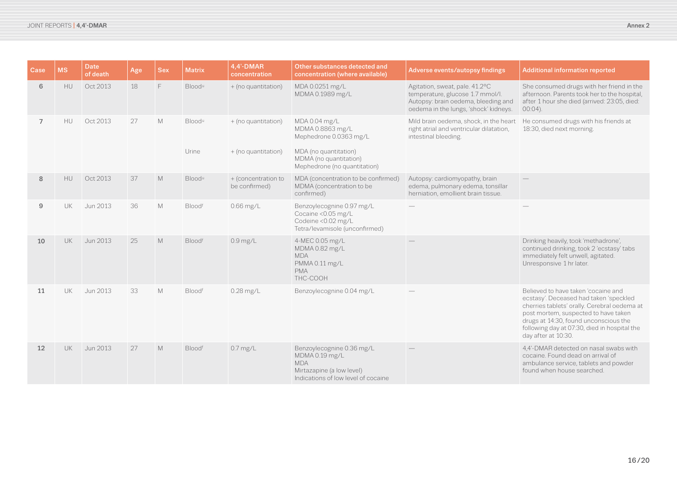| Case           | <b>MS</b> | <b>Date</b><br>of death | Age | <b>Sex</b> | <b>Matrix</b>             | 4,4'-DMAR<br>concentration           | Other substances detected and<br>concentration (where available)                                                              | Adverse events/autopsy findings                                                                                                                    | <b>Additional information reported</b>                                                                                                                                                                                                                                                |
|----------------|-----------|-------------------------|-----|------------|---------------------------|--------------------------------------|-------------------------------------------------------------------------------------------------------------------------------|----------------------------------------------------------------------------------------------------------------------------------------------------|---------------------------------------------------------------------------------------------------------------------------------------------------------------------------------------------------------------------------------------------------------------------------------------|
| 6              | <b>HU</b> | Oct 2013                | 18  | F.         | <b>Blood</b> <sup>u</sup> | + (no quantitation)                  | MDA 0.0251 mg/L<br>MDMA 0.1989 mg/L                                                                                           | Agitation, sweat, pale. 41.2°C<br>temperature, glucose 1.7 mmol/l.<br>Autopsy: brain oedema, bleeding and<br>oedema in the lungs, 'shock' kidneys. | She consumed drugs with her friend in the<br>afternoon. Parents took her to the hospital,<br>after 1 hour she died (arrived: 23:05, died:<br>$00:04$ ).                                                                                                                               |
| $\overline{7}$ | <b>HU</b> | Oct 2013                | 27  | M          | <b>Blood</b> <sup>u</sup> | + (no quantitation)                  | MDA 0.04 mg/L<br>MDMA 0.8863 mg/L<br>Mephedrone 0.0363 mg/L                                                                   | Mild brain oedema, shock, in the heart<br>right atrial and ventricular dilatation,<br>intestinal bleeding.                                         | He consumed drugs with his friends at<br>18:30, died next morning.                                                                                                                                                                                                                    |
|                |           |                         |     |            | Urine                     | + (no quantitation)                  | MDA (no quantitation)<br>MDMA (no quantitation)<br>Mephedrone (no quantitation)                                               |                                                                                                                                                    |                                                                                                                                                                                                                                                                                       |
| 8              | HU        | Oct 2013                | 37  | M          | Bloodu                    | + (concentration to<br>be confirmed) | MDA (concentration to be confirmed)<br>MDMA (concentration to be<br>confirmed)                                                | Autopsy: cardiomyopathy, brain<br>edema, pulmonary edema, tonsillar<br>herniation, emollient brain tissue.                                         |                                                                                                                                                                                                                                                                                       |
| $\mathsf g$    | UK.       | Jun 2013                | 36  | M          | Bloodf                    | $0.66$ mg/L                          | Benzoylecognine 0.97 mg/L<br>Cocaine <0.05 mg/L<br>Codeine <0.02 mg/L<br>Tetra/levamisole (unconfirmed)                       |                                                                                                                                                    |                                                                                                                                                                                                                                                                                       |
| 10             | UK.       | Jun 2013                | 25  | M          | <b>Bloodf</b>             | $0.9$ mg/L                           | 4-MEC 0.05 mg/L<br>MDMA 0.82 mg/L<br><b>MDA</b><br>PMMA 0.11 mg/L<br><b>PMA</b><br>THC-COOH                                   |                                                                                                                                                    | Drinking heavily, took 'methadrone',<br>continued drinking, took 2 'ecstasy' tabs<br>immediately felt unwell, agitated.<br>Unresponsive 1 hr later.                                                                                                                                   |
| 11             | UK.       | Jun 2013                | 33  | M          | Bloodf                    | $0.28$ mg/L                          | Benzoylecognine 0.04 mg/L                                                                                                     |                                                                                                                                                    | Believed to have taken 'cocaine and<br>ecstasy'. Deceased had taken 'speckled<br>cherries tablets' orally. Cerebral oedema at<br>post mortem, suspected to have taken<br>drugs at 14:30, found unconscious the<br>following day at 07:30, died in hospital the<br>day after at 10:30. |
| 12             | UK.       | Jun 2013                | 27  | M          | Bloodf                    | $0.7$ mg/L                           | Benzoylecognine 0.36 mg/L<br>MDMA 0.19 mg/L<br><b>MDA</b><br>Mirtazapine (a low level)<br>Indications of low level of cocaine |                                                                                                                                                    | 4,4'-DMAR detected on nasal swabs with<br>cocaine. Found dead on arrival of<br>ambulance service, tablets and powder<br>found when house searched.                                                                                                                                    |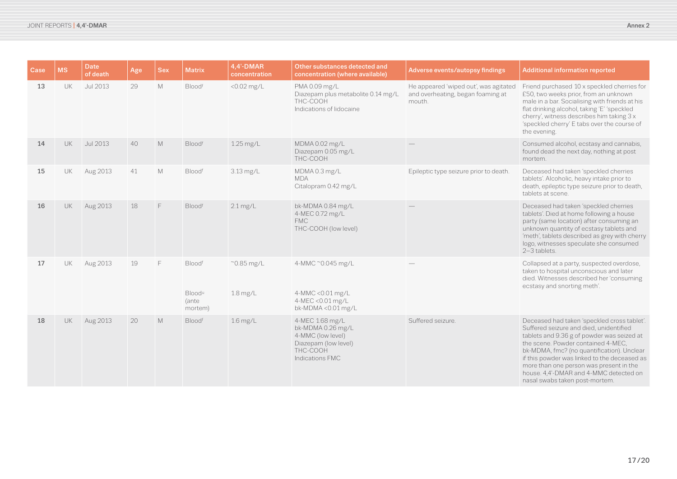| Case | <b>MS</b> | Date<br>of death | Age | <b>Sex</b> | <b>Matrix</b>                                           | 4,4'-DMAR<br>concentration        | Other substances detected and<br>concentration (where available)                                                 | Adverse events/autopsy findings                                                      | <b>Additional information reported</b>                                                                                                                                                                                                                                                                                                                                                          |
|------|-----------|------------------|-----|------------|---------------------------------------------------------|-----------------------------------|------------------------------------------------------------------------------------------------------------------|--------------------------------------------------------------------------------------|-------------------------------------------------------------------------------------------------------------------------------------------------------------------------------------------------------------------------------------------------------------------------------------------------------------------------------------------------------------------------------------------------|
| 13   | <b>UK</b> | Jul 2013         | 29  | M          | Bloodf                                                  | <0.02 mg/L                        | PMA 0.09 mg/L<br>Diazepam plus metabolite 0.14 mg/L<br>THC-COOH<br>Indications of lidocaine                      | He appeared 'wiped out', was agitated<br>and overheating, began foaming at<br>mouth. | Friend purchased 10 x speckled cherries for<br>£50, two weeks prior, from an unknown<br>male in a bar. Socialising with friends at his<br>flat drinking alcohol, taking 'E' 'speckled<br>cherry', witness describes him taking 3 x<br>'speckled cherry' E tabs over the course of<br>the evening.                                                                                               |
| 14   | <b>UK</b> | Jul 2013         | 40  | M          | Bloodf                                                  | 1.25 mg/L                         | MDMA 0.02 mg/L<br>Diazepam 0.05 mg/L<br>THC-COOH                                                                 |                                                                                      | Consumed alcohol, ecstasy and cannabis,<br>found dead the next day, nothing at post<br>mortem.                                                                                                                                                                                                                                                                                                  |
| 15   | <b>UK</b> | Aug 2013         | 41  | M          | Bloodf                                                  | 3.13 mg/L                         | MDMA0.3 mg/L<br><b>MDA</b><br>Citalopram 0.42 mg/L                                                               | Epileptic type seizure prior to death.                                               | Deceased had taken 'speckled cherries<br>tablets'. Alcoholic, heavy intake prior to<br>death, epileptic type seizure prior to death,<br>tablets at scene.                                                                                                                                                                                                                                       |
| 16   | UK        | Aug 2013         | 18  | F          | Bloodf                                                  | $2.1 \text{ mg/L}$                | bk-MDMA 0.84 mg/L<br>4-MEC 0.72 mg/L<br><b>FMC</b><br>THC-COOH (low level)                                       |                                                                                      | Deceased had taken 'speckled cherries<br>tablets'. Died at home following a house<br>party (same location) after consuming an<br>unknown quantity of ecstasy tablets and<br>'meth', tablets described as grey with cherry<br>logo, witnesses speculate she consumed<br>2-3 tablets.                                                                                                             |
| 17   | UK        | Aug 2013         | 19  | F          | Bloodf<br><b>Blood</b> <sup>u</sup><br>(ante<br>mortem) | $^{\sim}$ 0.85 mg/L<br>$1.8$ mg/L | 4-MMC ~0.045 mg/L<br>4-MMC < 0.01 mg/L<br>4-MEC < 0.01 mg/L<br>bk-MDMA<0.01 mg/L                                 |                                                                                      | Collapsed at a party, suspected overdose,<br>taken to hospital unconscious and later<br>died. Witnesses described her 'consuming<br>ecstasy and snorting meth'.                                                                                                                                                                                                                                 |
| 18   | UK        | Aug 2013         | 20  | M          | Bloodf                                                  | $1.6$ mg/L                        | 4-MEC 1.68 mg/L<br>bk-MDMA 0.26 mg/L<br>4-MMC (low level)<br>Diazepam (low level)<br>THC-COOH<br>Indications FMC | Suffered seizure.                                                                    | Deceased had taken 'speckled cross tablet'.<br>Suffered seizure and died, unidentified<br>tablets and 9.36 g of powder was seized at<br>the scene. Powder contained 4-MEC,<br>bk-MDMA, fmc? (no quantification). Unclear<br>if this powder was linked to the deceased as<br>more than one person was present in the<br>house. 4,4'-DMAR and 4-MMC detected on<br>nasal swabs taken post-mortem. |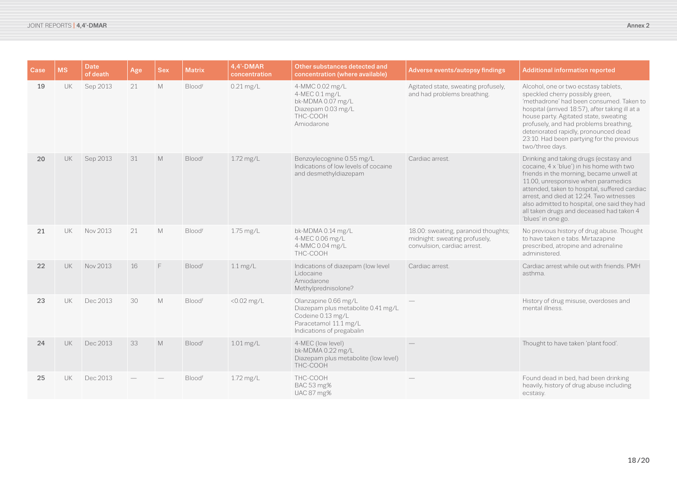| Case | <b>MS</b> | <b>Date</b><br>of death | Age | <b>Sex</b> | <b>Matrix</b> | 4.4'-DMAR<br>concentration | Other substances detected and<br>concentration (where available)                                                                      | Adverse events/autopsy findings                                                                     | <b>Additional information reported</b>                                                                                                                                                                                                                                                                                                                                                |
|------|-----------|-------------------------|-----|------------|---------------|----------------------------|---------------------------------------------------------------------------------------------------------------------------------------|-----------------------------------------------------------------------------------------------------|---------------------------------------------------------------------------------------------------------------------------------------------------------------------------------------------------------------------------------------------------------------------------------------------------------------------------------------------------------------------------------------|
| 19   | UK        | Sep 2013                | 21  | M          | Bloodf        | $0.21$ mg/L                | 4-MMC 0.02 mg/L<br>4-MEC 0.1 mg/L<br>bk-MDMA 0.07 mg/L<br>Diazepam 0.03 mg/L<br>THC-COOH<br>Amiodarone                                | Agitated state, sweating profusely,<br>and had problems breathing.                                  | Alcohol, one or two ecstasy tablets,<br>speckled cherry possibly green,<br>'methadrone' had been consumed. Taken to<br>hospital (arrived 18:57), after taking ill at a<br>house party. Agitated state, sweating<br>profusely, and had problems breathing,<br>deteriorated rapidly, pronounced dead<br>23:10. Had been partying for the previous<br>two/three days.                    |
| 20   | <b>UK</b> | Sep 2013                | 31  | M          | Bloodf        | 1.72 mg/L                  | Benzoylecognine 0.55 mg/L<br>Indications of low levels of cocaine<br>and desmethyldiazepam                                            | Cardiac arrest.                                                                                     | Drinking and taking drugs (ecstasy and<br>cocaine, 4 x 'blue') in his home with two<br>friends in the morning, became unwell at<br>11.00, unresponsive when paramedics<br>attended, taken to hospital, suffered cardiac<br>arrest, and died at 12:24. Two witnesses<br>also admitted to hospital, one said they had<br>all taken drugs and deceased had taken 4<br>'blues' in one go. |
| 21   | <b>UK</b> | Nov 2013                | 21  | M          | Bloodf        | 1.75 mg/L                  | bk-MDMA 0.14 mg/L<br>4-MEC 0.06 mg/L<br>4-MMC 0.04 mg/L<br>THC-COOH                                                                   | 18.00: sweating, paranoid thoughts;<br>midnight: sweating profusely,<br>convulsion, cardiac arrest. | No previous history of drug abuse. Thought<br>to have taken e tabs. Mirtazapine<br>prescribed, atropine and adrenaline<br>administered.                                                                                                                                                                                                                                               |
| 22   | UK        | Nov 2013                | 16  | F          | Bloodf        | $1.1 \text{ mg/L}$         | Indications of diazepam (low level<br>Lidocaine<br>Amiodarone<br>Methylprednisolone?                                                  | Cardiac arrest.                                                                                     | Cardiac arrest while out with friends, PMH<br>asthma.                                                                                                                                                                                                                                                                                                                                 |
| 23   | <b>UK</b> | Dec 2013                | 30  | M          | Bloodf        | <0.02 mg/L                 | Olanzapine 0.66 mg/L<br>Diazepam plus metabolite 0.41 mg/L<br>Codeine 0.13 mg/L<br>Paracetamol 11.1 mg/L<br>Indications of pregabalin |                                                                                                     | History of drug misuse, overdoses and<br>mental illness.                                                                                                                                                                                                                                                                                                                              |
| 24   | <b>UK</b> | Dec 2013                | 33  | M          | Bloodf        | 1.01 mg/L                  | 4-MEC (low level)<br>bk-MDMA 0.22 mg/L<br>Diazepam plus metabolite (low level)<br>THC-COOH                                            |                                                                                                     | Thought to have taken 'plant food'.                                                                                                                                                                                                                                                                                                                                                   |
| 25   | UK        | Dec 2013                |     |            | Bloodf        | 1.72 mg/L                  | THC-COOH<br>BAC 53 mg%<br><b>UAC 87 mg%</b>                                                                                           |                                                                                                     | Found dead in bed, had been drinking<br>heavily, history of drug abuse including<br>ecstasy.                                                                                                                                                                                                                                                                                          |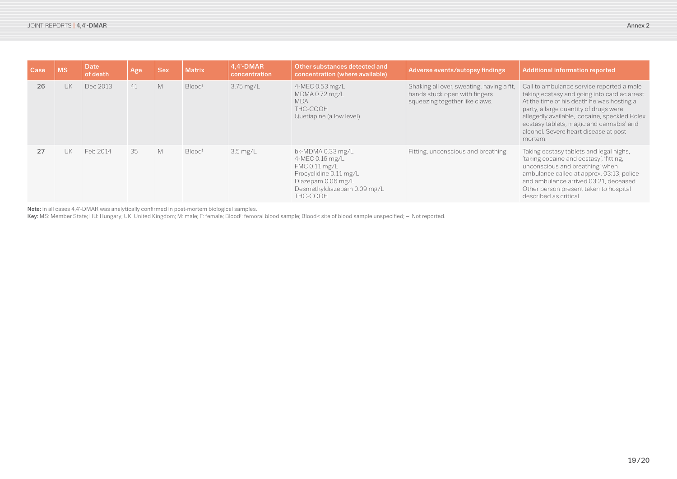| Case | <b>MS</b> | Date<br>of death | Age | <b>Sex</b> | <b>Matrix</b> | 4,4'-DMAR<br>concentration | Other substances detected and<br>concentration (where available)                                                                                 | Adverse events/autopsy findings                                                                              | Additional information reported                                                                                                                                                                                                                                                                                                   |
|------|-----------|------------------|-----|------------|---------------|----------------------------|--------------------------------------------------------------------------------------------------------------------------------------------------|--------------------------------------------------------------------------------------------------------------|-----------------------------------------------------------------------------------------------------------------------------------------------------------------------------------------------------------------------------------------------------------------------------------------------------------------------------------|
| 26   | <b>UK</b> | Dec 2013         | 41  | M          | <b>Bloodf</b> | 3.75 mg/L                  | 4-MEC 0.53 mg/L<br>MDMA 0.72 mg/L<br><b>MDA</b><br>THC-COOH<br>Quetiapine (a low level)                                                          | Shaking all over, sweating, having a fit,<br>hands stuck open with fingers<br>squeezing together like claws. | Call to ambulance service reported a male<br>taking ecstasy and going into cardiac arrest.<br>At the time of his death he was hosting a<br>party, a large quantity of drugs were<br>allegedly available, 'cocaine, speckled Rolex<br>ecstasy tablets, magic and cannabis' and<br>alcohol. Severe heart disease at post<br>mortem. |
| 27   | . lik     | Feb 2014         | 35  | M          | <b>Bloodf</b> | $3.5 \text{ mg/L}$         | bk-MDMA 0.33 mg/L<br>4-MEC 0.16 mg/L<br>FMC 0.11 mg/L<br>Procyclidine 0.11 mg/L<br>Diazepam 0.06 mg/L<br>Desmethyldiazepam 0.09 mg/L<br>THC-COOH | Fitting, unconscious and breathing.                                                                          | Taking ecstasy tablets and legal highs,<br>'taking cocaine and ecstasy', 'fitting,<br>unconscious and breathing' when<br>ambulance called at approx. 03:13, police<br>and ambulance arrived 03:21, deceased.<br>Other person present taken to hospital<br>described as critical.                                                  |

Note: in all cases 4,4′-DMAR was analytically confirmed in post-mortem biological samples.

Key: MS: Member State; HU: Hungary; UK: United Kingdom; M: male; F: female; Blood<sup>r</sup>: femoral blood sample; Blood<sup>u</sup>: site of blood sample unspecified; -: Not reported.